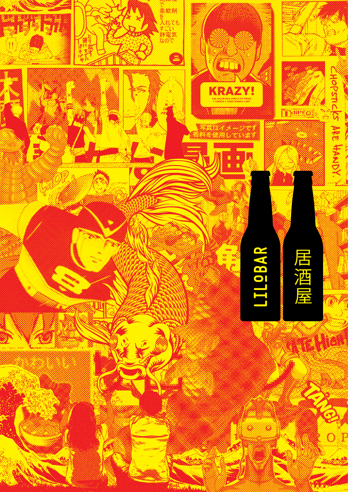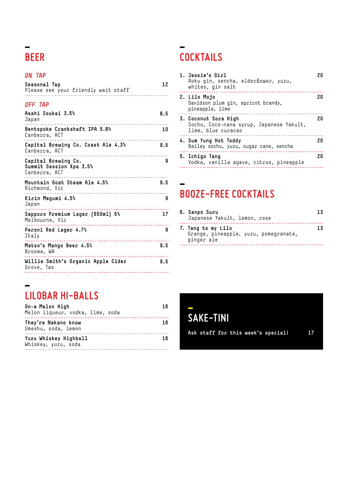# **BEER**

### *ON TAP*

| Seasonal Tap<br>Please see your friendly wait staff                                   | 12  |
|---------------------------------------------------------------------------------------|-----|
| <b><i>OFF TAP</i></b>                                                                 |     |
| Asahi Soukai 3.5%<br>Japan                                                            | 8.5 |
| Bentspoke Crankshaft IPA 5.8%<br>Canberra, ACT                                        | 10  |
| Capital Brewing Co. Coast Ale 4.3%<br>Canberra, ACT                                   | 9.5 |
| Capital Brewing Co.<br>Summit Session Xpa 3.5%<br>Canberra, ACT                       | g   |
| Mountain Goat Steam Ale 4.5%<br>Richmond, Vic                                         | 9.5 |
| Kirin Megumi 4.5%<br>Japan<br><u>.</u>                                                | 9   |
| Sapporo Premium Lager [650ml] 5%<br>Melbourne, Vic<br>_______________________________ | 17  |
| Peroni Red Lager 4.7%<br>Italy                                                        | 9   |
| Matso's Mango Beer 4.5%<br>Broome, WA                                                 | 9.5 |
| Willie Smith's Organic Apple Cider<br>Grove. Tas                                      | 9.5 |

# **COCKTAILS**

| 1. Jessie's Girl<br>Roku qin, sencha, elderflower, yuzu,<br>whites, gin salt           | 20 |
|----------------------------------------------------------------------------------------|----|
| 2. Lilo Mojo<br>Davidson plum gin, apricot brandy,<br>pineapple, lime                  | 20 |
| 3. Coconut Sora High<br>Sochu, Coco-nana syrup, Japanese Yakult,<br>lime, blue curacao | 20 |
| 4. Sum Yung Hot Toddy<br>Bailey sochu, yuzu, sugar cane, sencha                        | 20 |
| 5. Ichigo Tang<br>Vodka, vanilla agave, citrus, pineapple                              | 20 |

### **BOOZE-FREE COCKTAILS**

| 6. Sanpo Suru<br>Japanese Yakult, lemon, rose                             | 13 |
|---------------------------------------------------------------------------|----|
| 7. Tang to my Lilo<br>Orange, pineapple, yuzu, pomegranate,<br>ginger ale | 13 |

## **LILOBAR HI-BALLS**

| On-a Melon High<br>Melon liqueur, vodka, lime, soda | 16 |
|-----------------------------------------------------|----|
| They're Nakano know<br>Umeshu, soda, lemon          | 16 |
| Yuzu Whiskey Highball<br>Whiskey, yuzu, soda        | 16 |

**SAKE-TINI**

**Ask staff for this week's special! 17**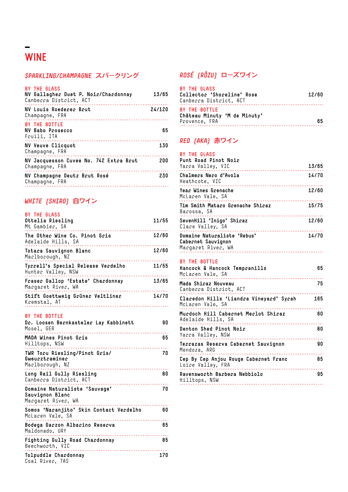# **WINE**

### *SPARKLING/CHAMPAGNE* **スパークリング** *ROSÉ (RÔZU)* **ローズワイン**

| <b>BY THE GLASS</b><br>NV Gallagher Duet P. Noir/Chardonnay<br>Canberra District, ACT | 13/65  |
|---------------------------------------------------------------------------------------|--------|
| NV Louis Roederer Brut<br>Champagne, FRA                                              | 24/120 |
| BY THE BOTTLE<br>NV Babo Prosecco<br>Fruili, ITA                                      | 65     |
| <b>NV Veuve Clicquot</b><br>Champagne, FRA                                            | 130    |
| NV Jacquesson Cuvee No. 742 Extra Brut<br>Champagne, FRA                              | 200    |
| NV Champagne Deutz Brut Rosé<br>Champagne, FRA                                        | 230    |

### *WHITE (SHIRO)* **白ワイン**

| <b>BY THE GLASS</b><br>Ottelia Riesling<br>Mt Gambier, SA                        | 11/55 |
|----------------------------------------------------------------------------------|-------|
| The Other Wine Co. Pinot Gris<br>Adelaide Hills, SA<br>. . <b>.</b>              | 12/60 |
| Totara Sauvignon Blanc<br>Marlborough, NZ                                        | 12/60 |
| Tyrrell's Special Release Verdelho<br>Hunter Valley, NSW                         | 11/55 |
| Fraser Gallop 'Estate' Chardonnay<br>Margaret River, WA                          | 13/65 |
| Stift Goettweig Grüner Veltliner<br>Kremstal, AT                                 | 14/70 |
| BY THE BOTTLE<br>Dr. Loosen Bernkasteler Lay Kabbinett<br>Mosel, GER<br><u>.</u> | 90    |
| MADA Wines Pinot Gris<br>Hilltops, NSW                                           | 65    |
| TWR Toru Riesling/Pinot Gris/<br>Gweurztraminer<br>Marlborough, NZ               | 70    |
| Long Rail Gully Riesling<br>Canberra District, ACT<br>___________________        | 80    |
| Domaine Naturaliste 'Sauvage'<br>Sauvignon Blanc<br>Margaret River, WA           | 70    |
| Somos 'Naranjito' Skin Contact Verdelho<br>McLaren Vale, SA                      | 60    |
| Bodega Garzon Albarino Reserva<br>Maldonado, URY                                 | 65    |
| Fighting Gully Road Chardonnay<br>Beechworth, VIC                                | 85    |
| Tolpuddle Chardonnay<br>Coal River, TAS                                          | 170   |

| BY THE GLASS<br>Collector 'Shoreline' Rose<br>Canberra District, ACT | 12/60 |
|----------------------------------------------------------------------|-------|
| BY THE BOTTLE<br>Château Minuty 'M de Minuty'<br>Provence, FRA       | 65    |

### *RED (AKA)* **赤ワイン**

| <b>BY THE GLASS</b><br>Punt Road Pinot Noir<br>Yarra Valley, VIC        | 13/65 |
|-------------------------------------------------------------------------|-------|
| Chalmers Nero d'Avola<br>Heathcote, VIC                                 | 14/70 |
| Year Wines Grenache<br>McLaren Vale, SA                                 | 12/60 |
| Tim Smith Mataro Grenache Shiraz<br>Barossa, SA                         | 15/75 |
| SevenHill 'Inigo' Shiraz<br>Clare Valley, SA                            | 12/60 |
| Domaine Naturaliste 'Rebus'<br>Cabernet Sauvignon<br>Margaret River, WA | 14/70 |
|                                                                         |       |

### **BY THE BOTTLE**

| Hancock & Hancock Tempranillo<br>McLaren Vale, SA           | 65  |
|-------------------------------------------------------------|-----|
| Mada Shiraz Nouveau<br>Canberra District, ACT               | 75  |
| Claredon Hills 'Liandra Vineyard' Syrah<br>McLaren Vale, SA | 165 |
| Murdoch Hill Cabernet Merlot Shiraz<br>Adelaide Hills, SA   | 60  |
| Denton Shed Pinot Noir<br>Yarra Valley, NSW                 | 80  |
| Terrazas Reserva Cabernet Sauvignon<br>Mendoza, ARG         | 90  |
| Cep By Cep Anjou Rouge Cabernet Franc<br>Loire Valley, FRA  | 85  |
| Ravensworth Barbera Nebbiolo<br>Hilltops, NSW               | 95  |
|                                                             |     |